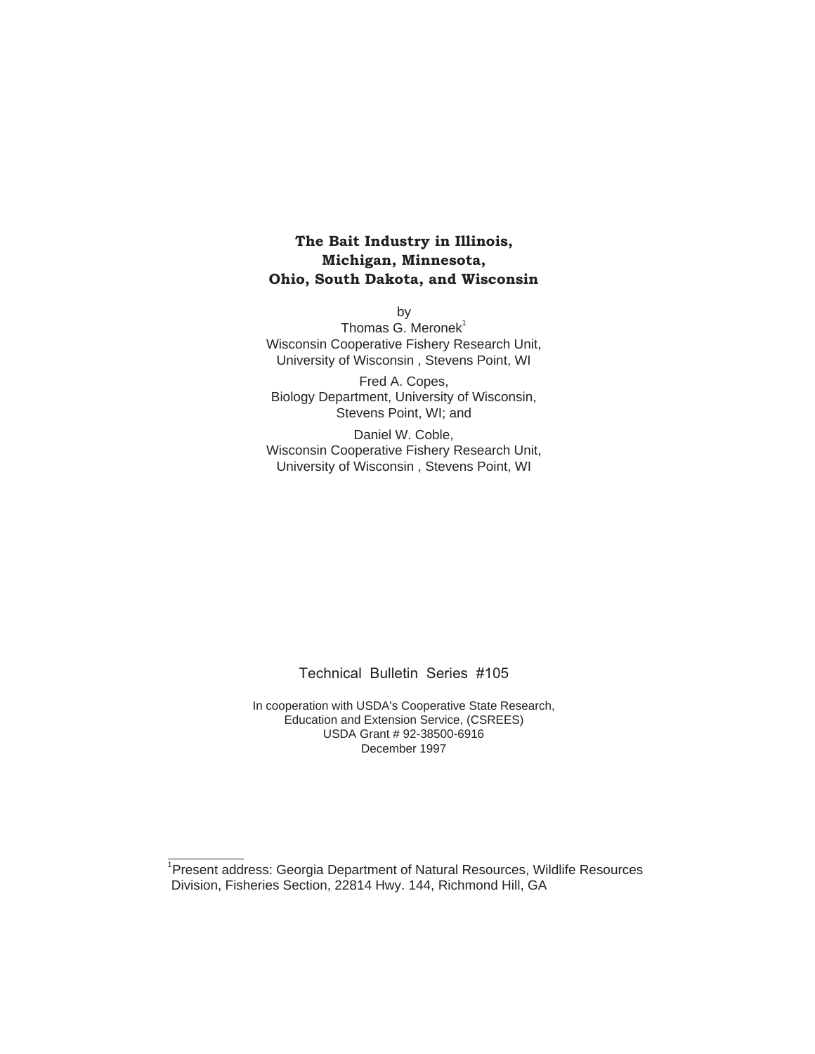#### **The Bait Industry in Illinois, Michigan, Minnesota, Ohio, South Dakota, and Wisconsin**

by

Thomas G. Meronek<sup>1</sup> Wisconsin Cooperative Fishery Research Unit, University of Wisconsin , Stevens Point, WI

Fred A. Copes, Biology Department, University of Wisconsin, Stevens Point, WI; and

Daniel W. Coble, Wisconsin Cooperative Fishery Research Unit, University of Wisconsin , Stevens Point, WI

Technical Bulletin Series #105

In cooperation with USDA's Cooperative State Research, Education and Extension Service, (CSREES) USDA Grant # 92-38500-6916 December 1997

<sup>1</sup> Present address: Georgia Department of Natural Resources, Wildlife Resources Division, Fisheries Section, 22814 Hwy. 144, Richmond Hill, GA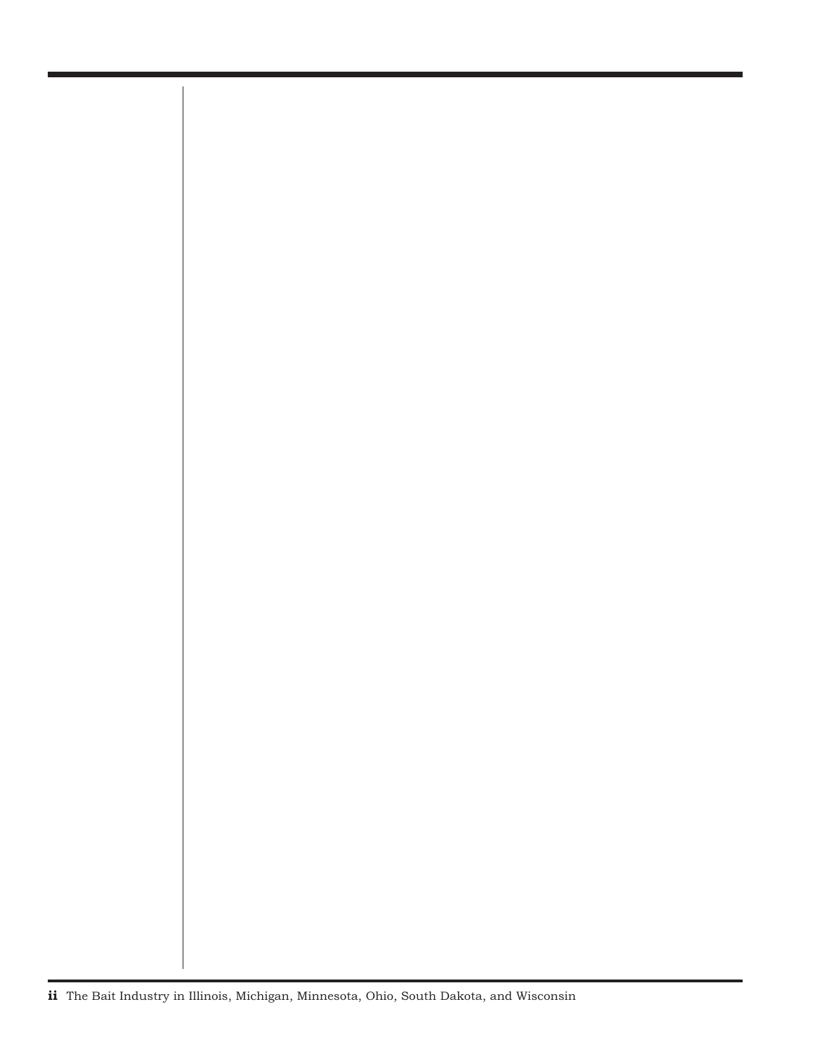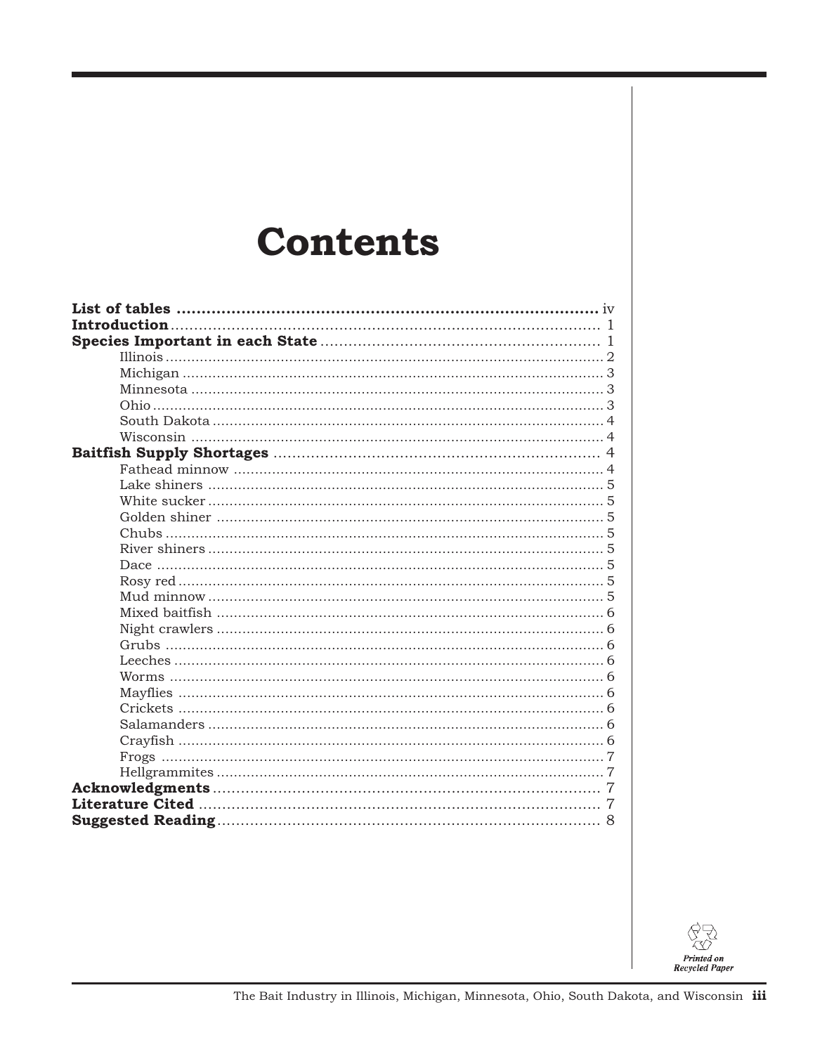## **Contents**

| iv |
|----|
|    |
|    |
|    |
|    |
|    |
|    |
|    |
|    |
|    |
|    |
|    |
|    |
|    |
|    |
|    |
|    |
|    |
|    |
|    |
|    |
|    |
|    |
|    |
|    |
|    |
|    |
|    |
|    |
|    |
|    |
| 7  |
|    |

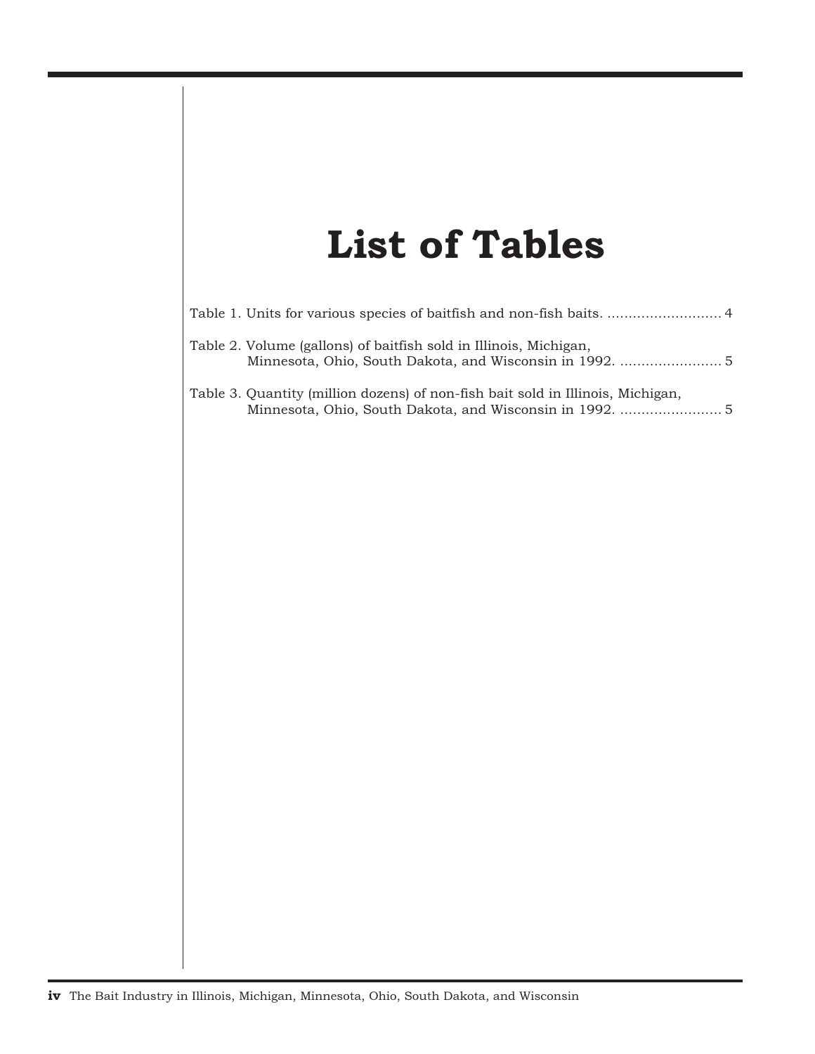# **List of Tables**

| Table 1. Units for various species of baitfish and non-fish baits. |  |
|--------------------------------------------------------------------|--|
| Table 2. Volume (gallons) of baitfish sold in Illinois, Michigan,  |  |
|                                                                    |  |

|  | Table 3. Quantity (million dozens) of non-fish bait sold in Illinois, Michigan, |  |  |
|--|---------------------------------------------------------------------------------|--|--|
|  |                                                                                 |  |  |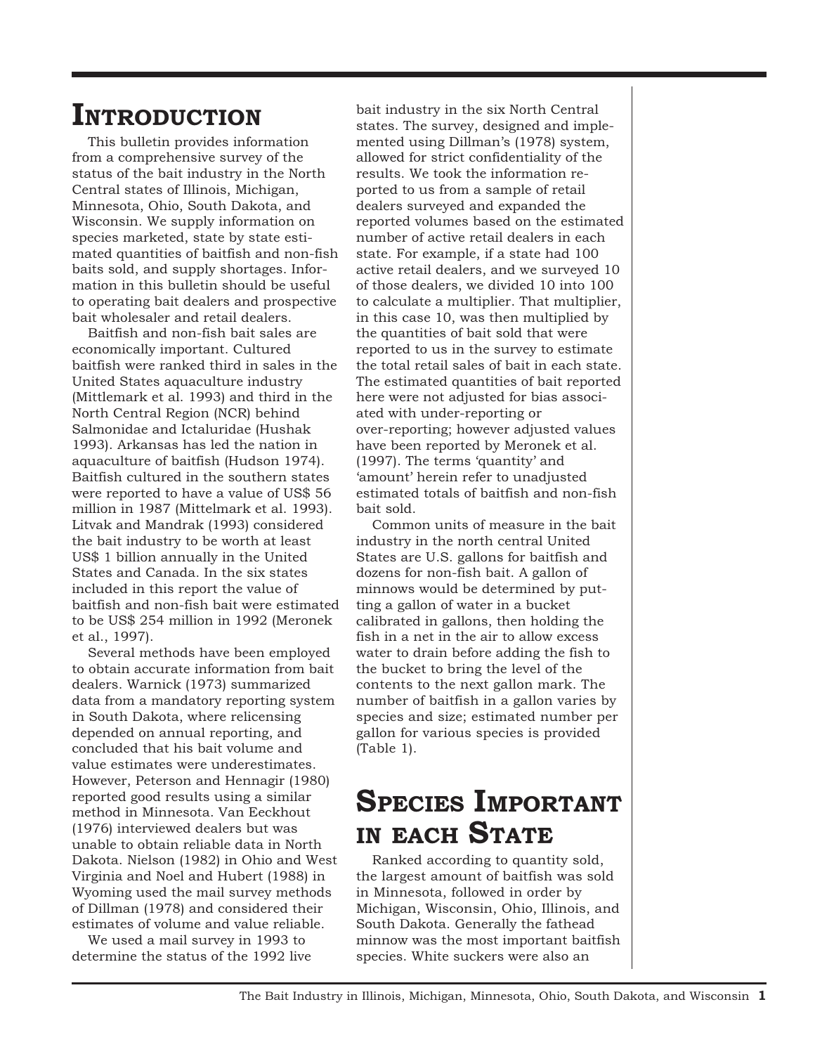### **INTRODUCTION**

This bulletin provides information from a comprehensive survey of the status of the bait industry in the North Central states of Illinois, Michigan, Minnesota, Ohio, South Dakota, and Wisconsin. We supply information on species marketed, state by state estimated quantities of baitfish and non-fish baits sold, and supply shortages. Information in this bulletin should be useful to operating bait dealers and prospective bait wholesaler and retail dealers.

Baitfish and non-fish bait sales are economically important. Cultured baitfish were ranked third in sales in the United States aquaculture industry (Mittlemark et al. 1993) and third in the North Central Region (NCR) behind Salmonidae and Ictaluridae (Hushak 1993). Arkansas has led the nation in aquaculture of baitfish (Hudson 1974). Baitfish cultured in the southern states were reported to have a value of US\$ 56 million in 1987 (Mittelmark et al. 1993). Litvak and Mandrak (1993) considered the bait industry to be worth at least US\$ 1 billion annually in the United States and Canada. In the six states included in this report the value of baitfish and non-fish bait were estimated to be US\$ 254 million in 1992 (Meronek et al., 1997).

Several methods have been employed to obtain accurate information from bait dealers. Warnick (1973) summarized data from a mandatory reporting system in South Dakota, where relicensing depended on annual reporting, and concluded that his bait volume and value estimates were underestimates. However, Peterson and Hennagir (1980) reported good results using a similar method in Minnesota. Van Eeckhout (1976) interviewed dealers but was unable to obtain reliable data in North Dakota. Nielson (1982) in Ohio and West Virginia and Noel and Hubert (1988) in Wyoming used the mail survey methods of Dillman (1978) and considered their estimates of volume and value reliable.

We used a mail survey in 1993 to determine the status of the 1992 live bait industry in the six North Central states. The survey, designed and implemented using Dillman's (1978) system, allowed for strict confidentiality of the results. We took the information reported to us from a sample of retail dealers surveyed and expanded the reported volumes based on the estimated number of active retail dealers in each state. For example, if a state had 100 active retail dealers, and we surveyed 10 of those dealers, we divided 10 into 100 to calculate a multiplier. That multiplier, in this case 10, was then multiplied by the quantities of bait sold that were reported to us in the survey to estimate the total retail sales of bait in each state. The estimated quantities of bait reported here were not adjusted for bias associated with under-reporting or over-reporting; however adjusted values have been reported by Meronek et al. (1997). The terms 'quantity' and 'amount' herein refer to unadjusted estimated totals of baitfish and non-fish bait sold.

Common units of measure in the bait industry in the north central United States are U.S. gallons for baitfish and dozens for non-fish bait. A gallon of minnows would be determined by putting a gallon of water in a bucket calibrated in gallons, then holding the fish in a net in the air to allow excess water to drain before adding the fish to the bucket to bring the level of the contents to the next gallon mark. The number of baitfish in a gallon varies by species and size; estimated number per gallon for various species is provided (Table 1).

### **SPECIES IMPORTANT IN EACH STATE**

Ranked according to quantity sold, the largest amount of baitfish was sold in Minnesota, followed in order by Michigan, Wisconsin, Ohio, Illinois, and South Dakota. Generally the fathead minnow was the most important baitfish species. White suckers were also an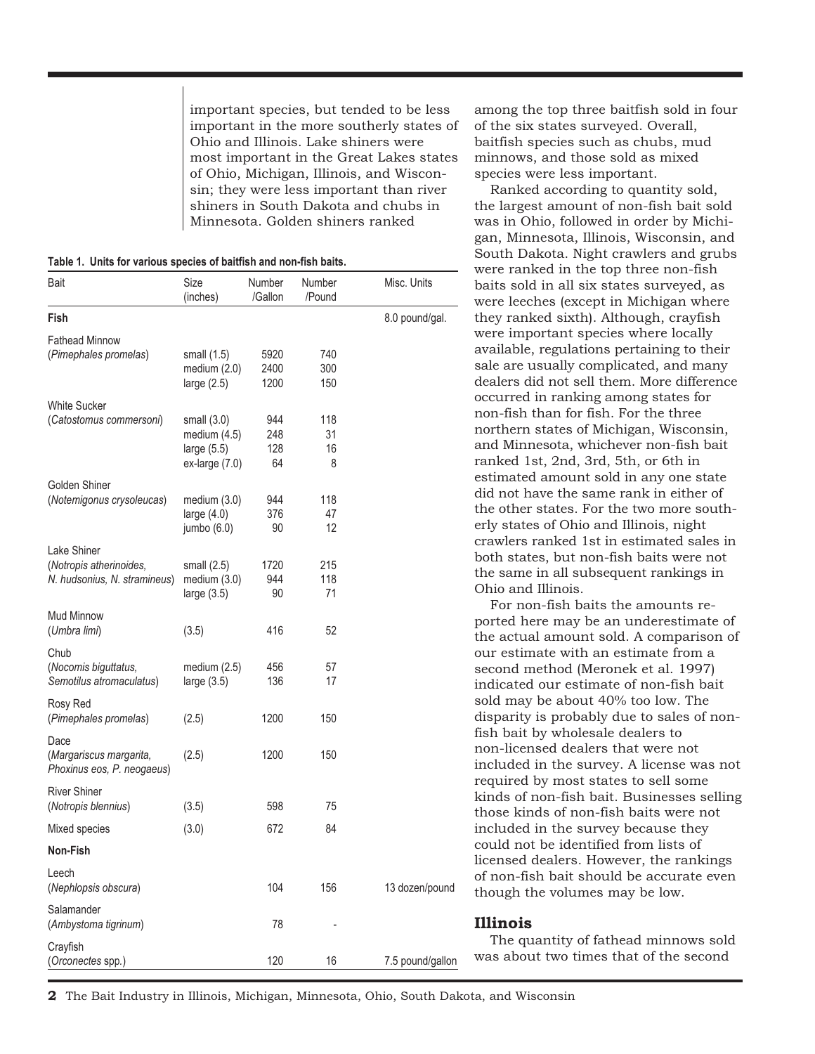important species, but tended to be less important in the more southerly states of Ohio and Illinois. Lake shiners were most important in the Great Lakes states of Ohio, Michigan, Illinois, and Wisconsin; they were less important than river shiners in South Dakota and chubs in Minnesota. Golden shiners ranked

**Table 1. Units for various species of baitfish and non-fish baits.**

| Bait                         | Size<br>(inches) | Number<br>/Gallon | Number<br>/Pound | Misc. Units      |
|------------------------------|------------------|-------------------|------------------|------------------|
| Fish                         |                  |                   |                  | 8.0 pound/gal.   |
| <b>Fathead Minnow</b>        |                  |                   |                  |                  |
| (Pimephales promelas)        | small $(1.5)$    | 5920              | 740              |                  |
|                              | medium (2.0)     | 2400              | 300              |                  |
|                              | large $(2.5)$    | 1200              | 150              |                  |
| <b>White Sucker</b>          |                  |                   |                  |                  |
| (Catostomus commersoni)      | small $(3.0)$    | 944               | 118              |                  |
|                              | medium $(4.5)$   | 248               | 31               |                  |
|                              | large $(5.5)$    | 128               | 16               |                  |
|                              | ex-large (7.0)   | 64                | 8                |                  |
| Golden Shiner                |                  |                   |                  |                  |
| (Notemigonus crysoleucas)    | medium $(3.0)$   | 944               | 118              |                  |
|                              | large $(4.0)$    | 376               | 47               |                  |
|                              | jumbo $(6.0)$    | 90                | 12               |                  |
| Lake Shiner                  |                  |                   |                  |                  |
| (Notropis atherinoides,      | small $(2.5)$    | 1720              | 215              |                  |
| N. hudsonius, N. stramineus) | medium $(3.0)$   | 944               | 118              |                  |
|                              | large $(3.5)$    | 90                | 71               |                  |
|                              |                  |                   |                  |                  |
| <b>Mud Minnow</b>            | (3.5)            | 416               | 52               |                  |
| (Umbra limi)                 |                  |                   |                  |                  |
| Chub                         |                  |                   |                  |                  |
| (Nocomis biguttatus,         | medium $(2.5)$   | 456               | 57               |                  |
| Semotilus atromaculatus)     | large $(3.5)$    | 136               | 17               |                  |
| Rosy Red                     |                  |                   |                  |                  |
| (Pimephales promelas)        | (2.5)            | 1200              | 150              |                  |
| Dace                         |                  |                   |                  |                  |
| (Margariscus margarita,      | (2.5)            | 1200              | 150              |                  |
| Phoxinus eos, P. neogaeus)   |                  |                   |                  |                  |
|                              |                  |                   |                  |                  |
| <b>River Shiner</b>          |                  |                   |                  |                  |
| (Notropis blennius)          | (3.5)            | 598               | 75               |                  |
| Mixed species                | (3.0)            | 672               | 84               |                  |
| Non-Fish                     |                  |                   |                  |                  |
| Leech                        |                  |                   |                  |                  |
| (Nephlopsis obscura)         |                  | 104               | 156              | 13 dozen/pound   |
| Salamander                   |                  |                   |                  |                  |
| (Ambystoma tigrinum)         |                  | 78                |                  |                  |
|                              |                  |                   |                  |                  |
| Crayfish                     |                  |                   |                  |                  |
| (Orconectes spp.)            |                  | 120               | 16               | 7.5 pound/gallon |

among the top three baitfish sold in four of the six states surveyed. Overall, baitfish species such as chubs, mud minnows, and those sold as mixed species were less important.

Ranked according to quantity sold, the largest amount of non-fish bait sold was in Ohio, followed in order by Michigan, Minnesota, Illinois, Wisconsin, and South Dakota. Night crawlers and grubs were ranked in the top three non-fish ts sold in all six states surveyed, as e leeches (except in Michigan where y ranked sixth). Although, crayfish e important species where locally ilable, regulations pertaining to their e are usually complicated, and many lers did not sell them. More difference urred in ranking among states for n-fish than for fish. For the three thern states of Michigan, Wisconsin, Minnesota, whichever non-fish bait ked 1st, 2nd, 3rd, 5th, or 6th in mated amount sold in any one state not have the same rank in either of other states. For the two more southstates of Ohio and Illinois, night wlers ranked 1st in estimated sales in h states, but non-fish baits were not same in all subsequent rankings in o and Illinois.

For non-fish baits the amounts reted here may be an underestimate of actual amount sold. A comparison of estimate with an estimate from a ond method (Meronek et al. 1997) icated our estimate of non-fish bait d may be about 40% too low. The parity is probably due to sales of nonbait by wholesale dealers to n-licensed dealers that were not luded in the survey. A license was not uired by most states to sell some ds of non-fish bait. Businesses selling se kinds of non-fish baits were not luded in the survey because they ld not be identified from lists of nsed dealers. However, the rankings on-fish bait should be accurate even ugh the volumes may be low.

#### **Illinois**

he quantity of fathead minnows sold s about two times that of the second

**2** The Bait Industry in Illinois, Michigan, Minnesota, Ohio, South Dakota, and Wisconsin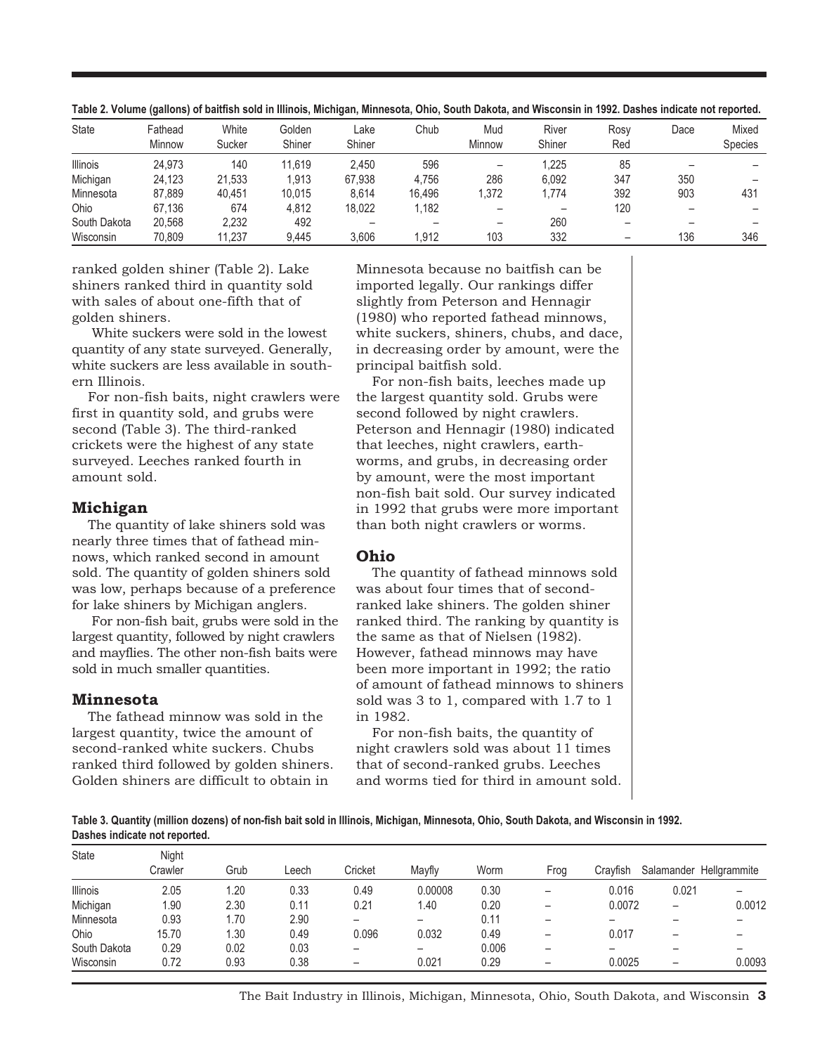| <b>State</b>    | Fathead<br><b>Minnow</b> | White<br>Sucker | Golden<br>Shiner | ∟ake<br>Shiner | Chub   | Mud<br><b>Minnow</b> | River<br>Shiner | Rosy<br>Red | Dace | Mixed<br><b>Species</b> |
|-----------------|--------------------------|-----------------|------------------|----------------|--------|----------------------|-----------------|-------------|------|-------------------------|
| <b>Illinois</b> | 24.973                   | 140             | 11.619           | 2.450          | 596    |                      | 1.225           | 85          |      |                         |
| Michigan        | 24,123                   | 21.533          | 1.913            | 67,938         | 4.756  | 286                  | 6.092           | 347         | 350  |                         |
| Minnesota       | 87.889                   | 40.451          | 10.015           | 8.614          | 16.496 | .372                 | 1.774           | 392         | 903  | 431                     |
| Ohio            | 67.136                   | 674             | 4.812            | 18.022         | 1.182  |                      |                 | 120         |      |                         |
| South Dakota    | 20.568                   | 2.232           | 492              |                |        | -                    | 260             |             |      |                         |
| Wisconsin       | 70.809                   | 11.237          | 9.445            | 3.606          | 1.912  | 103                  | 332             |             | 136  | 346                     |

**Table 2. Volume (gallons) of baitfish sold in Illinois, Michigan, Minnesota, Ohio, South Dakota, and Wisconsin in 1992. Dashes indicate not reported.**

ranked golden shiner (Table 2). Lake shiners ranked third in quantity sold with sales of about one-fifth that of golden shiners.

 White suckers were sold in the lowest quantity of any state surveyed. Generally, white suckers are less available in southern Illinois.

For non-fish baits, night crawlers were first in quantity sold, and grubs were second (Table 3). The third-ranked crickets were the highest of any state surveyed. Leeches ranked fourth in amount sold.

#### **Michigan**

The quantity of lake shiners sold was nearly three times that of fathead minnows, which ranked second in amount sold. The quantity of golden shiners sold was low, perhaps because of a preference for lake shiners by Michigan anglers.

 For non-fish bait, grubs were sold in the largest quantity, followed by night crawlers and mayflies. The other non-fish baits were sold in much smaller quantities.

#### **Minnesota**

The fathead minnow was sold in the largest quantity, twice the amount of second-ranked white suckers. Chubs ranked third followed by golden shiners. Golden shiners are difficult to obtain in

Minnesota because no baitfish can be imported legally. Our rankings differ slightly from Peterson and Hennagir (1980) who reported fathead minnows, white suckers, shiners, chubs, and dace, in decreasing order by amount, were the principal baitfish sold.

For non-fish baits, leeches made up the largest quantity sold. Grubs were second followed by night crawlers. Peterson and Hennagir (1980) indicated that leeches, night crawlers, earthworms, and grubs, in decreasing order by amount, were the most important non-fish bait sold. Our survey indicated in 1992 that grubs were more important than both night crawlers or worms.

#### **Ohio**

The quantity of fathead minnows sold was about four times that of secondranked lake shiners. The golden shiner ranked third. The ranking by quantity is the same as that of Nielsen (1982). However, fathead minnows may have been more important in 1992; the ratio of amount of fathead minnows to shiners sold was 3 to 1, compared with 1.7 to 1 in 1982.

For non-fish baits, the quantity of night crawlers sold was about 11 times that of second-ranked grubs. Leeches and worms tied for third in amount sold.

**Table 3. Quantity (million dozens) of non-fish bait sold in Illinois, Michigan, Minnesota, Ohio, South Dakota, and Wisconsin in 1992. Dashes indicate not reported.**

| <b>State</b>    | Night   |      |       |                          |         |       |      |          |       |                         |
|-----------------|---------|------|-------|--------------------------|---------|-------|------|----------|-------|-------------------------|
|                 | Crawler | Grub | Leech | Cricket                  | Mayfly  | Worm  | Frog | Cravfish |       | Salamander Hellgrammite |
| <b>Illinois</b> | 2.05    | 1.20 | 0.33  | 0.49                     | 0.00008 | 0.30  |      | 0.016    | 0.021 |                         |
| Michigan        | 1.90    | 2.30 | 0.11  | 0.21                     | 1.40    | 0.20  | -    | 0.0072   | -     | 0.0012                  |
| Minnesota       | 0.93    | 1.70 | 2.90  | $\overline{\phantom{m}}$ | -       | 0.11  | -    |          |       |                         |
| Ohio            | 15.70   | 1.30 | 0.49  | 0.096                    | 0.032   | 0.49  | -    | 0.017    |       |                         |
| South Dakota    | 0.29    | 0.02 | 0.03  | $\overline{\phantom{m}}$ | -       | 0.006 |      |          |       |                         |
| Wisconsin       | 0.72    | 0.93 | 0.38  |                          | 0.021   | 0.29  | -    | 0.0025   | -     | 0.0093                  |

The Bait Industry in Illinois, Michigan, Minnesota, Ohio, South Dakota, and Wisconsin **3**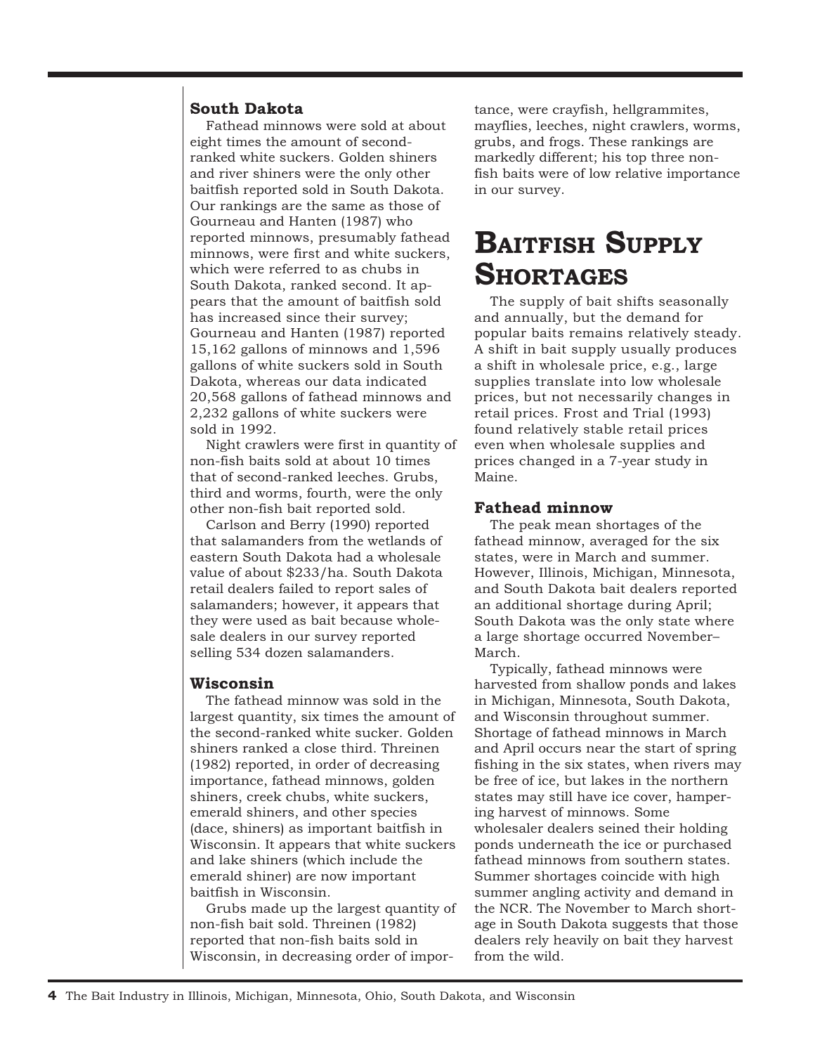#### **South Dakota**

Fathead minnows were sold at about eight times the amount of secondranked white suckers. Golden shiners and river shiners were the only other baitfish reported sold in South Dakota. Our rankings are the same as those of Gourneau and Hanten (1987) who reported minnows, presumably fathead minnows, were first and white suckers, which were referred to as chubs in South Dakota, ranked second. It appears that the amount of baitfish sold has increased since their survey; Gourneau and Hanten (1987) reported 15,162 gallons of minnows and 1,596 gallons of white suckers sold in South Dakota, whereas our data indicated 20,568 gallons of fathead minnows and 2,232 gallons of white suckers were sold in 1992.

Night crawlers were first in quantity of non-fish baits sold at about 10 times that of second-ranked leeches. Grubs, third and worms, fourth, were the only other non-fish bait reported sold.

Carlson and Berry (1990) reported that salamanders from the wetlands of eastern South Dakota had a wholesale value of about \$233/ha. South Dakota retail dealers failed to report sales of salamanders; however, it appears that they were used as bait because wholesale dealers in our survey reported selling 534 dozen salamanders.

#### **Wisconsin**

The fathead minnow was sold in the largest quantity, six times the amount of the second-ranked white sucker. Golden shiners ranked a close third. Threinen (1982) reported, in order of decreasing importance, fathead minnows, golden shiners, creek chubs, white suckers, emerald shiners, and other species (dace, shiners) as important baitfish in Wisconsin. It appears that white suckers and lake shiners (which include the emerald shiner) are now important baitfish in Wisconsin.

Grubs made up the largest quantity of non-fish bait sold. Threinen (1982) reported that non-fish baits sold in Wisconsin, in decreasing order of impor-

tance, were crayfish, hellgrammites, mayflies, leeches, night crawlers, worms, grubs, and frogs. These rankings are markedly different; his top three nonfish baits were of low relative importance in our survey.

### **BAITFISH SUPPLY SHORTAGES**

The supply of bait shifts seasonally and annually, but the demand for popular baits remains relatively steady. A shift in bait supply usually produces a shift in wholesale price, e.g., large supplies translate into low wholesale prices, but not necessarily changes in retail prices. Frost and Trial (1993) found relatively stable retail prices even when wholesale supplies and prices changed in a 7-year study in Maine.

#### **Fathead minnow**

The peak mean shortages of the fathead minnow, averaged for the six states, were in March and summer. However, Illinois, Michigan, Minnesota, and South Dakota bait dealers reported an additional shortage during April; South Dakota was the only state where a large shortage occurred November– March.

Typically, fathead minnows were harvested from shallow ponds and lakes in Michigan, Minnesota, South Dakota, and Wisconsin throughout summer. Shortage of fathead minnows in March and April occurs near the start of spring fishing in the six states, when rivers may be free of ice, but lakes in the northern states may still have ice cover, hampering harvest of minnows. Some wholesaler dealers seined their holding ponds underneath the ice or purchased fathead minnows from southern states. Summer shortages coincide with high summer angling activity and demand in the NCR. The November to March shortage in South Dakota suggests that those dealers rely heavily on bait they harvest from the wild.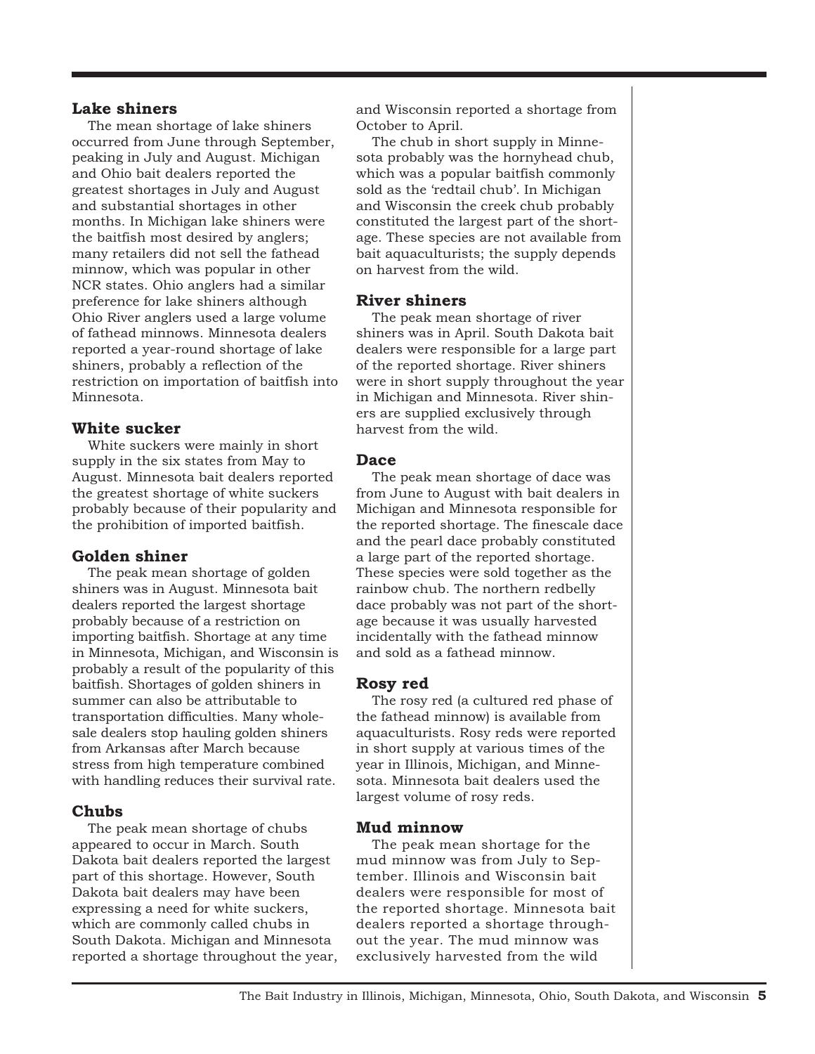#### **Lake shiners**

The mean shortage of lake shiners occurred from June through September, peaking in July and August. Michigan and Ohio bait dealers reported the greatest shortages in July and August and substantial shortages in other months. In Michigan lake shiners were the baitfish most desired by anglers; many retailers did not sell the fathead minnow, which was popular in other NCR states. Ohio anglers had a similar preference for lake shiners although Ohio River anglers used a large volume of fathead minnows. Minnesota dealers reported a year-round shortage of lake shiners, probably a reflection of the restriction on importation of baitfish into Minnesota.

#### **White sucker**

White suckers were mainly in short supply in the six states from May to August. Minnesota bait dealers reported the greatest shortage of white suckers probably because of their popularity and the prohibition of imported baitfish.

#### **Golden shiner**

The peak mean shortage of golden shiners was in August. Minnesota bait dealers reported the largest shortage probably because of a restriction on importing baitfish. Shortage at any time in Minnesota, Michigan, and Wisconsin is probably a result of the popularity of this baitfish. Shortages of golden shiners in summer can also be attributable to transportation difficulties. Many wholesale dealers stop hauling golden shiners from Arkansas after March because stress from high temperature combined with handling reduces their survival rate.

#### **Chubs**

The peak mean shortage of chubs appeared to occur in March. South Dakota bait dealers reported the largest part of this shortage. However, South Dakota bait dealers may have been expressing a need for white suckers, which are commonly called chubs in South Dakota. Michigan and Minnesota reported a shortage throughout the year, and Wisconsin reported a shortage from October to April.

The chub in short supply in Minnesota probably was the hornyhead chub, which was a popular baitfish commonly sold as the 'redtail chub'. In Michigan and Wisconsin the creek chub probably constituted the largest part of the shortage. These species are not available from bait aquaculturists; the supply depends on harvest from the wild.

#### **River shiners**

The peak mean shortage of river shiners was in April. South Dakota bait dealers were responsible for a large part of the reported shortage. River shiners were in short supply throughout the year in Michigan and Minnesota. River shiners are supplied exclusively through harvest from the wild.

#### **Dace**

The peak mean shortage of dace was from June to August with bait dealers in Michigan and Minnesota responsible for the reported shortage. The finescale dace and the pearl dace probably constituted a large part of the reported shortage. These species were sold together as the rainbow chub. The northern redbelly dace probably was not part of the shortage because it was usually harvested incidentally with the fathead minnow and sold as a fathead minnow.

#### **Rosy red**

The rosy red (a cultured red phase of the fathead minnow) is available from aquaculturists. Rosy reds were reported in short supply at various times of the year in Illinois, Michigan, and Minnesota. Minnesota bait dealers used the largest volume of rosy reds.

#### **Mud minnow**

The peak mean shortage for the mud minnow was from July to September. Illinois and Wisconsin bait dealers were responsible for most of the reported shortage. Minnesota bait dealers reported a shortage throughout the year. The mud minnow was exclusively harvested from the wild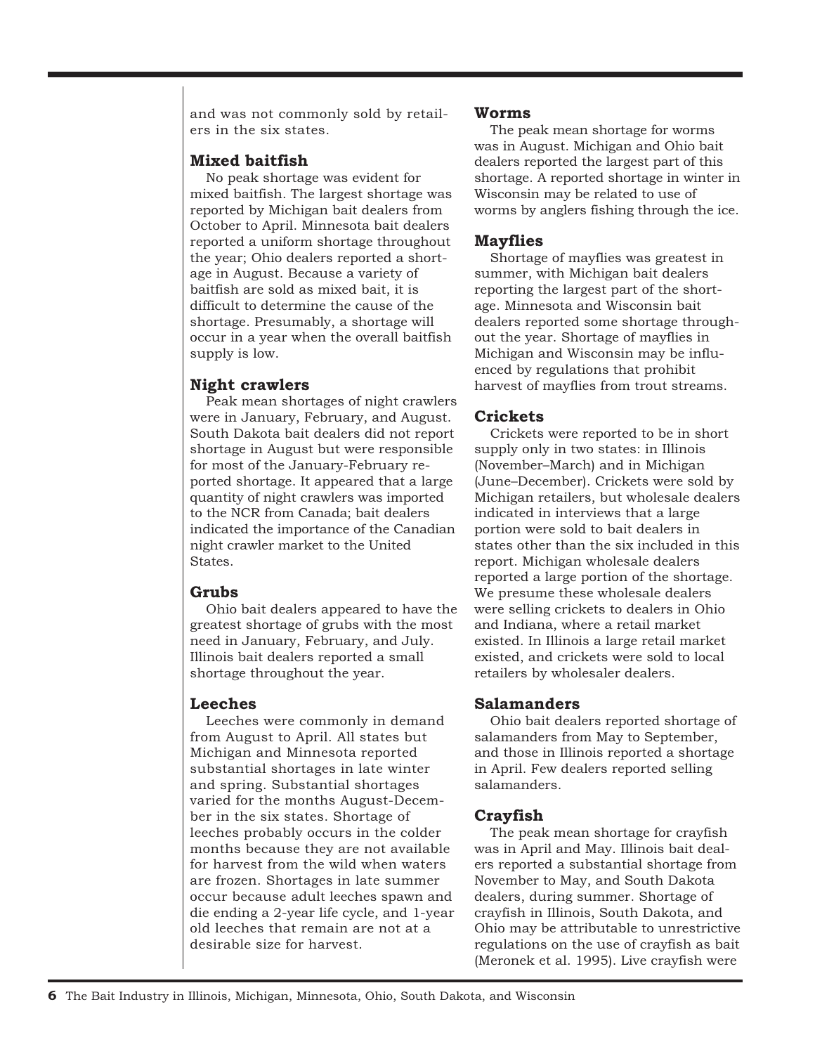and was not commonly sold by retailers in the six states.

#### **Mixed baitfish**

No peak shortage was evident for mixed baitfish. The largest shortage was reported by Michigan bait dealers from October to April. Minnesota bait dealers reported a uniform shortage throughout the year; Ohio dealers reported a shortage in August. Because a variety of baitfish are sold as mixed bait, it is difficult to determine the cause of the shortage. Presumably, a shortage will occur in a year when the overall baitfish supply is low.

#### **Night crawlers**

Peak mean shortages of night crawlers were in January, February, and August. South Dakota bait dealers did not report shortage in August but were responsible for most of the January-February reported shortage. It appeared that a large quantity of night crawlers was imported to the NCR from Canada; bait dealers indicated the importance of the Canadian night crawler market to the United States.

#### **Grubs**

Ohio bait dealers appeared to have the greatest shortage of grubs with the most need in January, February, and July. Illinois bait dealers reported a small shortage throughout the year.

#### **Leeches**

Leeches were commonly in demand from August to April. All states but Michigan and Minnesota reported substantial shortages in late winter and spring. Substantial shortages varied for the months August-December in the six states. Shortage of leeches probably occurs in the colder months because they are not available for harvest from the wild when waters are frozen. Shortages in late summer occur because adult leeches spawn and die ending a 2-year life cycle, and 1-year old leeches that remain are not at a desirable size for harvest.

#### **Worms**

The peak mean shortage for worms was in August. Michigan and Ohio bait dealers reported the largest part of this shortage. A reported shortage in winter in Wisconsin may be related to use of worms by anglers fishing through the ice.

#### **Mayflies**

Shortage of mayflies was greatest in summer, with Michigan bait dealers reporting the largest part of the shortage. Minnesota and Wisconsin bait dealers reported some shortage throughout the year. Shortage of mayflies in Michigan and Wisconsin may be influenced by regulations that prohibit harvest of mayflies from trout streams.

#### **Crickets**

Crickets were reported to be in short supply only in two states: in Illinois (November–March) and in Michigan (June–December). Crickets were sold by Michigan retailers, but wholesale dealers indicated in interviews that a large portion were sold to bait dealers in states other than the six included in this report. Michigan wholesale dealers reported a large portion of the shortage. We presume these wholesale dealers were selling crickets to dealers in Ohio and Indiana, where a retail market existed. In Illinois a large retail market existed, and crickets were sold to local retailers by wholesaler dealers.

#### **Salamanders**

Ohio bait dealers reported shortage of salamanders from May to September, and those in Illinois reported a shortage in April. Few dealers reported selling salamanders.

#### **Crayfish**

The peak mean shortage for crayfish was in April and May. Illinois bait dealers reported a substantial shortage from November to May, and South Dakota dealers, during summer. Shortage of crayfish in Illinois, South Dakota, and Ohio may be attributable to unrestrictive regulations on the use of crayfish as bait (Meronek et al. 1995). Live crayfish were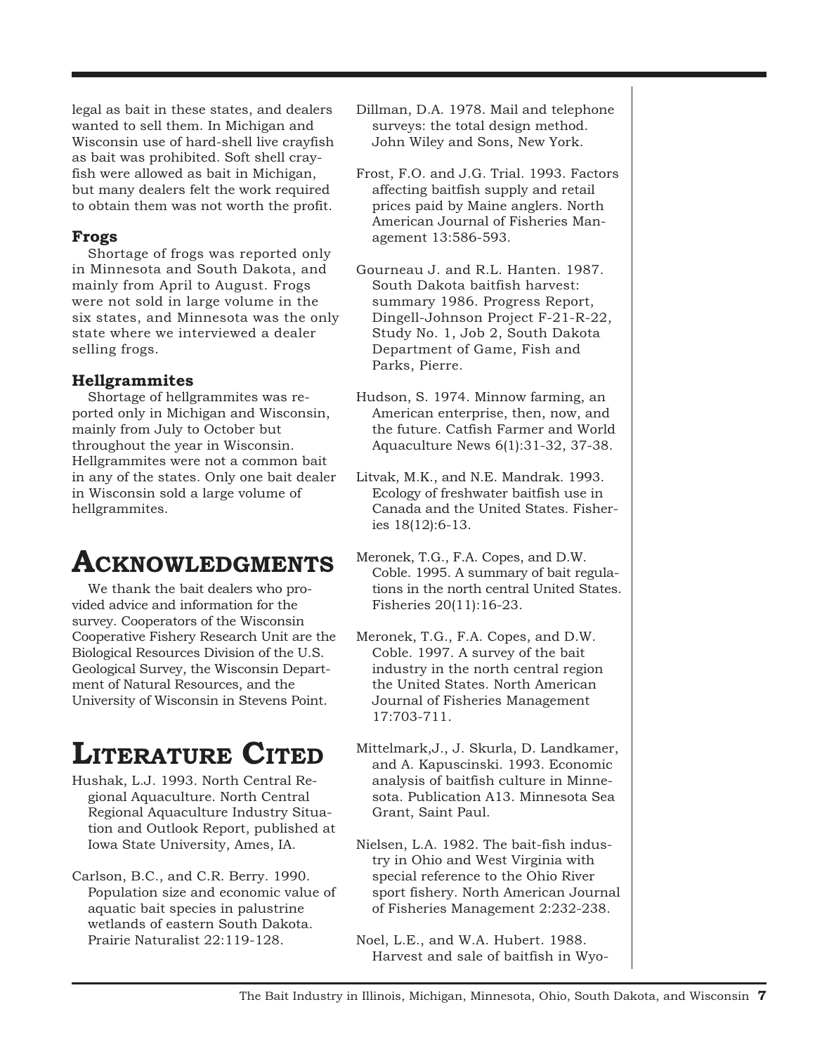legal as bait in these states, and dealers wanted to sell them. In Michigan and Wisconsin use of hard-shell live crayfish as bait was prohibited. Soft shell crayfish were allowed as bait in Michigan, but many dealers felt the work required to obtain them was not worth the profit.

#### **Frogs**

Shortage of frogs was reported only in Minnesota and South Dakota, and mainly from April to August. Frogs were not sold in large volume in the six states, and Minnesota was the only state where we interviewed a dealer selling frogs.

#### **Hellgrammites**

Shortage of hellgrammites was reported only in Michigan and Wisconsin, mainly from July to October but throughout the year in Wisconsin. Hellgrammites were not a common bait in any of the states. Only one bait dealer in Wisconsin sold a large volume of hellgrammites.

### **ACKNOWLEDGMENTS**

We thank the bait dealers who provided advice and information for the survey. Cooperators of the Wisconsin Cooperative Fishery Research Unit are the Biological Resources Division of the U.S. Geological Survey, the Wisconsin Department of Natural Resources, and the University of Wisconsin in Stevens Point.

## **LITERATURE CITED**

- Hushak, L.J. 1993. North Central Regional Aquaculture. North Central Regional Aquaculture Industry Situation and Outlook Report, published at Iowa State University, Ames, IA.
- Carlson, B.C., and C.R. Berry. 1990. Population size and economic value of aquatic bait species in palustrine wetlands of eastern South Dakota. Prairie Naturalist 22:119-128.
- Dillman, D.A. 1978. Mail and telephone surveys: the total design method. John Wiley and Sons, New York.
- Frost, F.O. and J.G. Trial. 1993. Factors affecting baitfish supply and retail prices paid by Maine anglers. North American Journal of Fisheries Management 13:586-593.
- Gourneau J. and R.L. Hanten. 1987. South Dakota baitfish harvest: summary 1986. Progress Report, Dingell-Johnson Project F-21-R-22, Study No. 1, Job 2, South Dakota Department of Game, Fish and Parks, Pierre.
- Hudson, S. 1974. Minnow farming, an American enterprise, then, now, and the future. Catfish Farmer and World Aquaculture News 6(1):31-32, 37-38.
- Litvak, M.K., and N.E. Mandrak. 1993. Ecology of freshwater baitfish use in Canada and the United States. Fisheries 18(12):6-13.
- Meronek, T.G., F.A. Copes, and D.W. Coble. 1995. A summary of bait regulations in the north central United States. Fisheries 20(11):16-23.
- Meronek, T.G., F.A. Copes, and D.W. Coble. 1997. A survey of the bait industry in the north central region the United States. North American Journal of Fisheries Management 17:703-711.
- Mittelmark,J., J. Skurla, D. Landkamer, and A. Kapuscinski. 1993. Economic analysis of baitfish culture in Minnesota. Publication A13. Minnesota Sea Grant, Saint Paul.
- Nielsen, L.A. 1982. The bait-fish industry in Ohio and West Virginia with special reference to the Ohio River sport fishery. North American Journal of Fisheries Management 2:232-238.
- Noel, L.E., and W.A. Hubert. 1988. Harvest and sale of baitfish in Wyo-